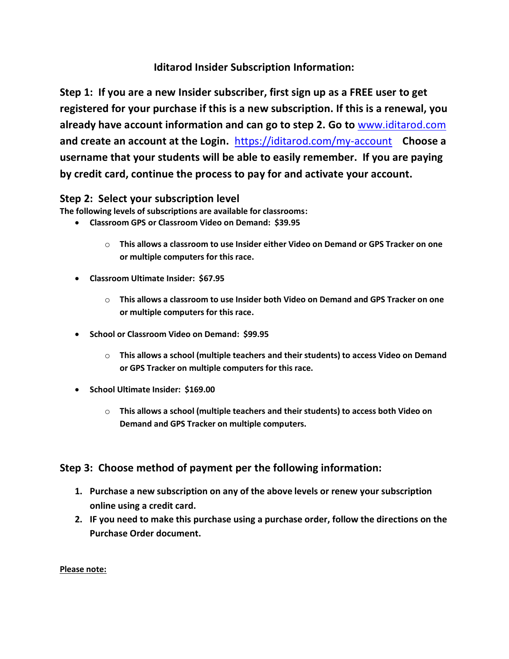### **Iditarod Insider Subscription Information:**

**Step 1: If you are a new Insider subscriber, first sign up as a FREE user to get registered for your purchase if this is a new subscription. If this is a renewal, you already have account information and can go to step 2. Go to** [www.iditarod.com](http://www.iditarod.com/) **and create an account at the Login.** <https://iditarod.com/my-account> **Choose a username that your students will be able to easily remember. If you are paying by credit card, continue the process to pay for and activate your account.**

#### **Step 2: Select your subscription level**

**The following levels of subscriptions are available for classrooms:**

- **Classroom GPS or Classroom Video on Demand: \$39.95**
	- o **This allows a classroom to use Insider either Video on Demand or GPS Tracker on one or multiple computers for this race.**
- **Classroom Ultimate Insider: \$67.95**
	- o **This allows a classroom to use Insider both Video on Demand and GPS Tracker on one or multiple computers for this race.**
- **School or Classroom Video on Demand: \$99.95**
	- o **This allows a school (multiple teachers and their students) to access Video on Demand or GPS Tracker on multiple computers for this race.**
- **School Ultimate Insider: \$169.00**
	- o **This allows a school (multiple teachers and their students) to access both Video on Demand and GPS Tracker on multiple computers.**

### **Step 3: Choose method of payment per the following information:**

- **1. Purchase a new subscription on any of the above levels or renew your subscription online using a credit card.**
- **2. IF you need to make this purchase using a purchase order, follow the directions on the Purchase Order document.**

**Please note:**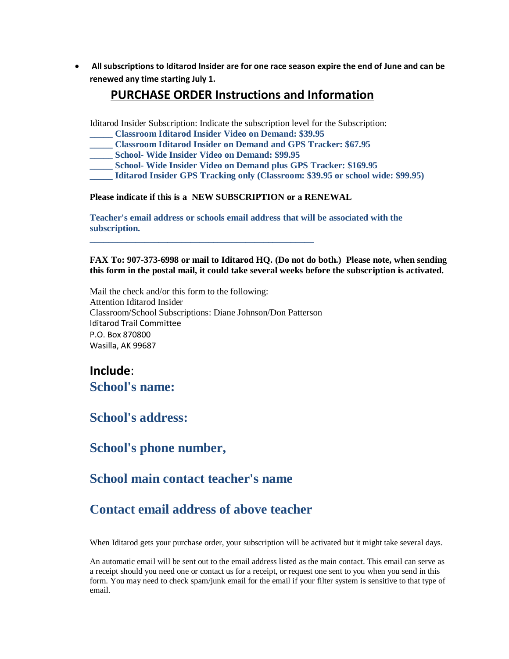• **All subscriptions to Iditarod Insider are for one race season expire the end of June and can be renewed any time starting July 1.**

#### **PURCHASE ORDER Instructions and Information**

Iditarod Insider Subscription: Indicate the subscription level for the Subscription:

- **\_\_\_\_\_ Classroom Iditarod Insider Video on Demand: \$39.95**
- **\_\_\_\_\_ Classroom Iditarod Insider on Demand and GPS Tracker: \$67.95**
- **\_\_\_\_\_ School- Wide Insider Video on Demand: \$99.95**
- **\_\_\_\_\_ School- Wide Insider Video on Demand plus GPS Tracker: \$169.95**
- **\_\_\_\_\_ Iditarod Insider GPS Tracking only (Classroom: \$39.95 or school wide: \$99.95)**

**Please indicate if this is a NEW SUBSCRIPTION or a RENEWAL**

**Teacher's email address or schools email address that will be associated with the subscription.**

**FAX To: 907-373-6998 or mail to Iditarod HQ. (Do not do both.) Please note, when sending this form in the postal mail, it could take several weeks before the subscription is activated.**

Mail the check and/or this form to the following: Attention Iditarod Insider Classroom/School Subscriptions: Diane Johnson/Don Patterson Iditarod Trail Committee P.O. Box 870800 Wasilla, AK 99687

**\_\_\_\_\_\_\_\_\_\_\_\_\_\_\_\_\_\_\_\_\_\_\_\_\_\_\_\_\_\_\_\_\_\_\_\_\_\_\_\_\_\_\_\_\_\_\_\_\_**

## **Include**: **School's name:**

# **School's address:**

**School's phone number,**

## **School main contact teacher's name**

# **Contact email address of above teacher**

When Iditarod gets your purchase order, your subscription will be activated but it might take several days.

An automatic email will be sent out to the email address listed as the main contact. This email can serve as a receipt should you need one or contact us for a receipt, or request one sent to you when you send in this form. You may need to check spam/junk email for the email if your filter system is sensitive to that type of email.